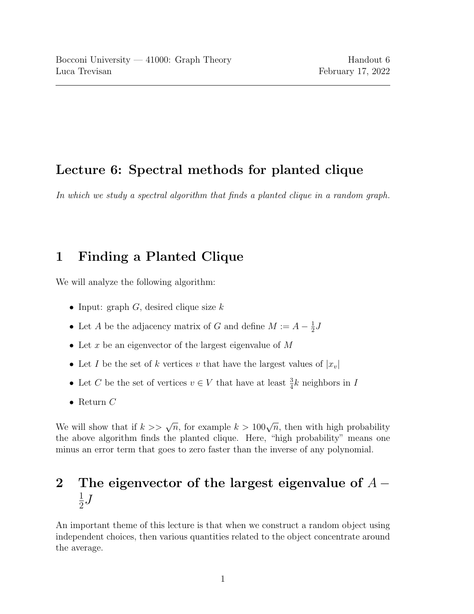## Lecture 6: Spectral methods for planted clique

In which we study a spectral algorithm that finds a planted clique in a random graph.

## 1 Finding a Planted Clique

We will analyze the following algorithm:

- Input: graph  $G$ , desired clique size  $k$
- Let A be the adjacency matrix of G and define  $M := A \frac{1}{2}$  $\frac{1}{2}$ .
- Let  $x$  be an eigenvector of the largest eigenvalue of  $M$
- Let I be the set of k vertices v that have the largest values of  $|x_v|$
- Let C be the set of vertices  $v \in V$  that have at least  $\frac{3}{4}k$  neighbors in I
- Return  $C$

We will show that if  $k \geq \sqrt{n}$ , for example  $k > 100\sqrt{n}$ , then with high probability the above algorithm finds the planted clique. Here, "high probability" means one minus an error term that goes to zero faster than the inverse of any polynomial.

## 2 The eigenvector of the largest eigenvalue of  $A -$ 1  $\frac{1}{2}$ .

An important theme of this lecture is that when we construct a random object using independent choices, then various quantities related to the object concentrate around the average.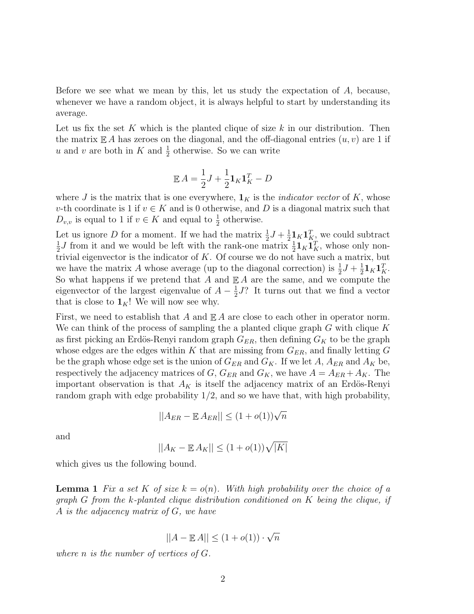Before we see what we mean by this, let us study the expectation of  $A$ , because, whenever we have a random object, it is always helpful to start by understanding its average.

Let us fix the set K which is the planted clique of size  $k$  in our distribution. Then the matrix  $\mathbb{E} A$  has zeroes on the diagonal, and the off-diagonal entries  $(u, v)$  are 1 if u and v are both in K and  $\frac{1}{2}$  otherwise. So we can write

$$
\mathbb{E} A = \frac{1}{2}J + \frac{1}{2}\mathbf{1}_K \mathbf{1}_K^T - D
$$

where J is the matrix that is one everywhere,  $\mathbf{1}_K$  is the *indicator vector* of K, whose v-th coordinate is 1 if  $v \in K$  and is 0 otherwise, and D is a diagonal matrix such that  $D_{v,v}$  is equal to 1 if  $v \in K$  and equal to  $\frac{1}{2}$  otherwise.

Let us ignore D for a moment. If we had the matrix  $\frac{1}{2}J + \frac{1}{2}$  $\frac{1}{2}$ **1**<sub>K</sub> $\mathbf{1}_{K}^{T}$ , we could subtract 1  $\frac{1}{2}J$  from it and we would be left with the rank-one matrix  $\frac{1}{2}$ **1**<sub>K</sub> $\mathbf{1}_K^T$ , whose only nontrivial eigenvector is the indicator of  $K$ . Of course we do not have such a matrix, but we have the matrix A whose average (up to the diagonal correction) is  $\frac{1}{2}J + \frac{1}{2}$  $\frac{1}{2} \mathbf{1}_K \mathbf{1}_K^T.$ So what happens if we pretend that A and  $\mathbb{E} A$  are the same, and we compute the eigenvector of the largest eigenvalue of  $A - \frac{1}{2}$  $\frac{1}{2}J$ ? It turns out that we find a vector that is close to  $\mathbf{1}_K!$ ! We will now see why.

First, we need to establish that A and  $\mathbb{E} A$  are close to each other in operator norm. We can think of the process of sampling the a planted clique graph  $G$  with clique  $K$ as first picking an Erdös-Renyi random graph  $G_{ER}$ , then defining  $G_K$  to be the graph whose edges are the edges within K that are missing from  $G_{ER}$ , and finally letting G be the graph whose edge set is the union of  $G_{ER}$  and  $G_K$ . If we let A,  $A_{ER}$  and  $A_K$  be, respectively the adjacency matrices of  $G$ ,  $G_{ER}$  and  $G_K$ , we have  $A = A_{ER} + A_K$ . The important observation is that  $A_K$  is itself the adjacency matrix of an Erdös-Renyi random graph with edge probability  $1/2$ , and so we have that, with high probability,

$$
||A_{ER} - \mathbb{E} A_{ER}|| \le (1 + o(1))\sqrt{n}
$$

and

$$
||A_K - \mathbb{E}|A_K|| \leq (1 + o(1))\sqrt{|K|}
$$

which gives us the following bound.

**Lemma 1** Fix a set K of size  $k = o(n)$ . With high probability over the choice of a graph G from the k-planted clique distribution conditioned on  $K$  being the clique, if A is the adjacency matrix of  $G$ , we have

$$
||A - \mathbb{E}A|| \le (1 + o(1)) \cdot \sqrt{n}
$$

where  $n$  is the number of vertices of  $G$ .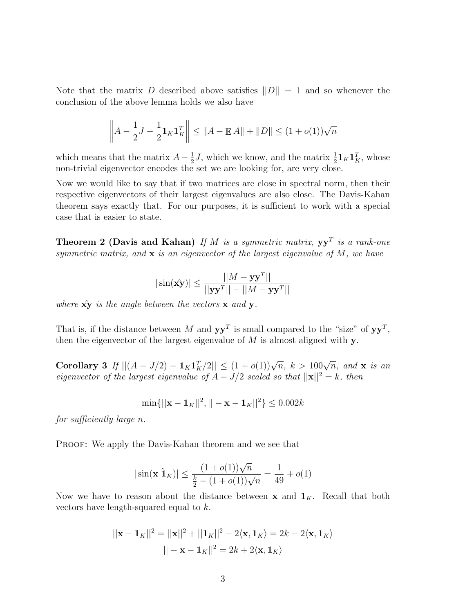Note that the matrix D described above satisfies  $||D|| = 1$  and so whenever the conclusion of the above lemma holds we also have

$$
\left\| A - \frac{1}{2}J - \frac{1}{2}\mathbf{1}_K \mathbf{1}_K^T \right\| \le \|A - \mathbb{E}A\| + \|D\| \le (1 + o(1))\sqrt{n}
$$

which means that the matrix  $A - \frac{1}{2}$  $\frac{1}{2}J$ , which we know, and the matrix  $\frac{1}{2}$ **1**<sub>K</sub>**1**<sup>T</sup><sub>K</sub><sup>T</sup>, whose non-trivial eigenvector encodes the set we are looking for, are very close.

Now we would like to say that if two matrices are close in spectral norm, then their respective eigenvectors of their largest eigenvalues are also close. The Davis-Kahan theorem says exactly that. For our purposes, it is sufficient to work with a special case that is easier to state.

**Theorem 2 (Davis and Kahan)** If M is a symmetric matrix,  $yy<sup>T</sup>$  is a rank-one symmetric matrix, and  $x$  is an eigenvector of the largest eigenvalue of  $M$ , we have

$$
|\sin(\hat{\mathbf{xy}})| \le \frac{||M - \mathbf{y}\mathbf{y}^T||}{||\mathbf{y}\mathbf{y}^T|| - ||M - \mathbf{y}\mathbf{y}^T||}
$$

where  $\hat{\mathbf{x}y}$  is the angle between the vectors  $\mathbf{x}$  and  $\mathbf{y}$ .

That is, if the distance between M and  $yy<sup>T</sup>$  is small compared to the "size" of  $yy<sup>T</sup>$ , then the eigenvector of the largest eigenvalue of  $M$  is almost aligned with  $\mathbf{y}$ .

Corollary 3 If  $||(A - J/2) - 1_K1_K^T/2|| \leq (1 + o(1))\sqrt{n}, k > 100\sqrt{n}, \text{ and } x \text{ is an}$ eigenvector of the largest eigenvalue of  $A - J/2$  scaled so that  $||\mathbf{x}||^2 = k$ , then

$$
\min\{||\mathbf{x} - \mathbf{1}_K||^2, ||-\mathbf{x} - \mathbf{1}_K||^2\} \le 0.002k
$$

for sufficiently large n.

PROOF: We apply the Davis-Kahan theorem and we see that

$$
|\sin(\mathbf{x} \hat{\mathbf{1}}_K)| \le \frac{(1+o(1))\sqrt{n}}{\frac{k}{2} - (1+o(1))\sqrt{n}} = \frac{1}{49} + o(1)
$$

Now we have to reason about the distance between **x** and  $\mathbf{1}_K$ . Recall that both vectors have length-squared equal to k.

$$
||\mathbf{x} - \mathbf{1}_K||^2 = ||\mathbf{x}||^2 + ||\mathbf{1}_K||^2 - 2\langle \mathbf{x}, \mathbf{1}_K \rangle = 2k - 2\langle \mathbf{x}, \mathbf{1}_K \rangle
$$

$$
|| - \mathbf{x} - \mathbf{1}_K||^2 = 2k + 2\langle \mathbf{x}, \mathbf{1}_K \rangle
$$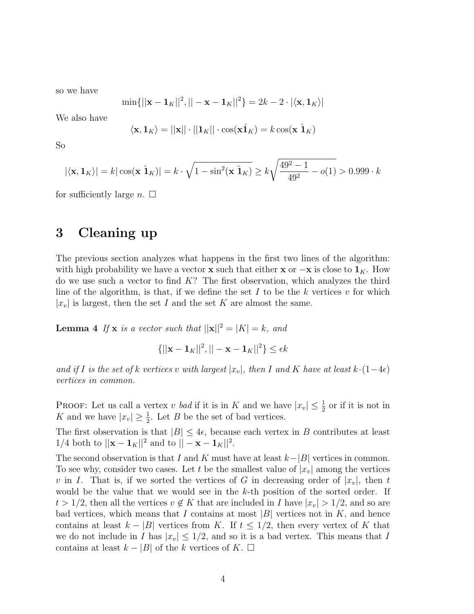so we have

$$
\min\{||\mathbf{x} - \mathbf{1}_K||^2, ||-\mathbf{x} - \mathbf{1}_K||^2\} = 2k - 2 \cdot |\langle \mathbf{x}, \mathbf{1}_K \rangle|
$$

We also have

$$
\langle \mathbf{x}, \mathbf{1}_K \rangle = ||\mathbf{x}|| \cdot ||\mathbf{1}_K|| \cdot \cos(\mathbf{x} \hat{\mathbf{1}}_K) = k \cos(\mathbf{x} \hat{\mathbf{1}}_K)
$$

So

$$
|\langle \mathbf{x}, \mathbf{1}_K \rangle| = k |\cos(\mathbf{x} \hat{\mathbf{1}}_K)| = k \cdot \sqrt{1 - \sin^2(\mathbf{x} \hat{\mathbf{1}}_K)} \ge k \sqrt{\frac{49^2 - 1}{49^2} - o(1)} > 0.999 \cdot k
$$

for sufficiently large  $n. \Box$ 

## 3 Cleaning up

The previous section analyzes what happens in the first two lines of the algorithm: with high probability we have a vector **x** such that either **x** or  $-\mathbf{x}$  is close to  $\mathbf{1}_K$ . How do we use such a vector to find  $K$ ? The first observation, which analyzes the third line of the algorithm, is that, if we define the set I to be the k vertices  $v$  for which  $|x_v|$  is largest, then the set I and the set K are almost the same.

**Lemma 4** If **x** is a vector such that  $||\mathbf{x}||^2 = |K| = k$ , and

$$
\{||\mathbf{x} - \mathbf{1}_K||^2, ||-\mathbf{x} - \mathbf{1}_K||^2\} \le \epsilon k
$$

and if I is the set of k vertices v with largest  $|x_v|$ , then I and K have at least  $k \cdot (1-4\epsilon)$ vertices in common.

PROOF: Let us call a vertex v bad if it is in K and we have  $|x_v| \leq \frac{1}{2}$  or if it is not in K and we have  $|x_v| \geq \frac{1}{2}$ . Let B be the set of bad vertices.

The first observation is that  $|B| \leq 4\epsilon$ , because each vertex in B contributes at least 1/4 both to  $||\mathbf{x} - \mathbf{1}_K||^2$  and to  $|| - \mathbf{x} - \mathbf{1}_K||^2$ .

The second observation is that I and K must have at least  $k-|B|$  vertices in common. To see why, consider two cases. Let t be the smallest value of  $|x_v|$  among the vertices v in I. That is, if we sorted the vertices of G in decreasing order of  $|x_v|$ , then t would be the value that we would see in the k-th position of the sorted order. If  $t > 1/2$ , then all the vertices  $v \notin K$  that are included in I have  $|x_v| > 1/2$ , and so are bad vertices, which means that I contains at most  $|B|$  vertices not in K, and hence contains at least  $k - |B|$  vertices from K. If  $t \leq 1/2$ , then every vertex of K that we do not include in I has  $|x_v| \leq 1/2$ , and so it is a bad vertex. This means that I contains at least  $k - |B|$  of the k vertices of K.  $\square$